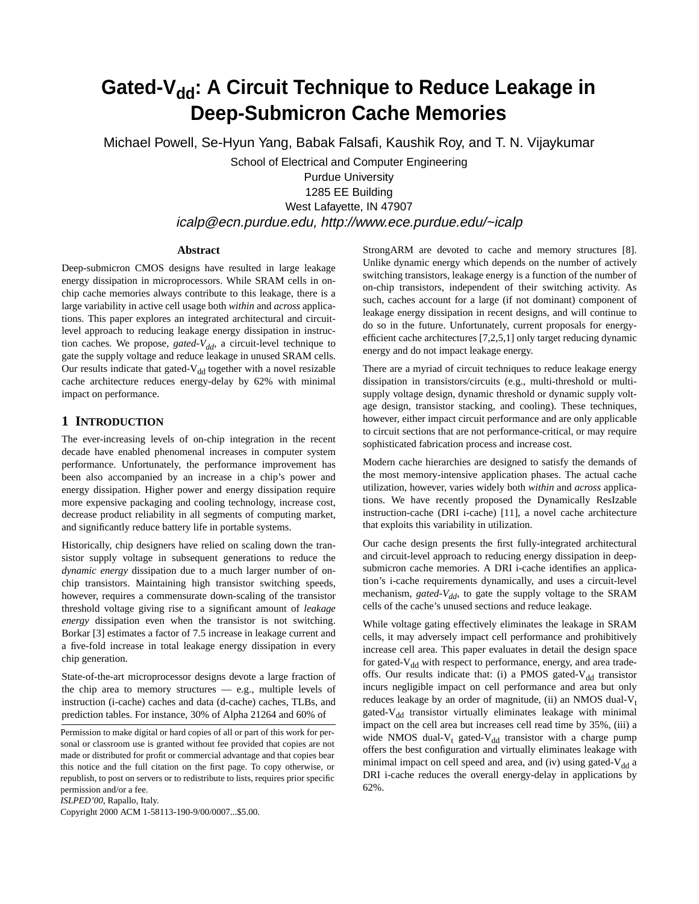# Gated-V<sub>dd</sub>: A Circuit Technique to Reduce Leakage in **Deep-Submicron Cache Memories**

Michael Powell, Se-Hyun Yang, Babak Falsafi, Kaushik Roy, and T. N. Vijaykumar

School of Electrical and Computer Engineering

Purdue University 1285 EE Building West Lafayette, IN 47907 icalp@ecn.purdue.edu, http://www.ece.purdue.edu/~icalp

## **Abstract**

Deep-submicron CMOS designs have resulted in large leakage energy dissipation in microprocessors. While SRAM cells in onchip cache memories always contribute to this leakage, there is a large variability in active cell usage both *within* and *across* applications. This paper explores an integrated architectural and circuitlevel approach to reducing leakage energy dissipation in instruction caches. We propose, *gated-V<sub>dd</sub>*, a circuit-level technique to gate the supply voltage and reduce leakage in unused SRAM cells. Our results indicate that gated- $V_{dd}$  together with a novel resizable cache architecture reduces energy-delay by 62% with minimal impact on performance.

## **1 INTRODUCTION**

The ever-increasing levels of on-chip integration in the recent decade have enabled phenomenal increases in computer system performance. Unfortunately, the performance improvement has been also accompanied by an increase in a chip's power and energy dissipation. Higher power and energy dissipation require more expensive packaging and cooling technology, increase cost, decrease product reliability in all segments of computing market, and significantly reduce battery life in portable systems.

Historically, chip designers have relied on scaling down the transistor supply voltage in subsequent generations to reduce the *dynamic energy* dissipation due to a much larger number of onchip transistors. Maintaining high transistor switching speeds, however, requires a commensurate down-scaling of the transistor threshold voltage giving rise to a significant amount of *leakage energy* dissipation even when the transistor is not switching. Borkar [3] estimates a factor of 7.5 increase in leakage current and a five-fold increase in total leakage energy dissipation in every chip generation.

State-of-the-art microprocessor designs devote a large fraction of the chip area to memory structures — e.g., multiple levels of instruction (i-cache) caches and data (d-cache) caches, TLBs, and prediction tables. For instance, 30% of Alpha 21264 and 60% of

*ISLPED'00*, Rapallo, Italy.

Copyright 2000 ACM 1-58113-190-9/00/0007...\$5.00.

StrongARM are devoted to cache and memory structures [8]. Unlike dynamic energy which depends on the number of actively switching transistors, leakage energy is a function of the number of on-chip transistors, independent of their switching activity. As such, caches account for a large (if not dominant) component of leakage energy dissipation in recent designs, and will continue to do so in the future. Unfortunately, current proposals for energyefficient cache architectures [7,2,5,1] only target reducing dynamic energy and do not impact leakage energy.

There are a myriad of circuit techniques to reduce leakage energy dissipation in transistors/circuits (e.g., multi-threshold or multisupply voltage design, dynamic threshold or dynamic supply voltage design, transistor stacking, and cooling). These techniques, however, either impact circuit performance and are only applicable to circuit sections that are not performance-critical, or may require sophisticated fabrication process and increase cost.

Modern cache hierarchies are designed to satisfy the demands of the most memory-intensive application phases. The actual cache utilization, however, varies widely both *within* and *across* applications. We have recently proposed the Dynamically ResIzable instruction-cache (DRI i-cache) [11], a novel cache architecture that exploits this variability in utilization.

Our cache design presents the first fully-integrated architectural and circuit-level approach to reducing energy dissipation in deepsubmicron cache memories. A DRI i-cache identifies an application's i-cache requirements dynamically, and uses a circuit-level mechanism, *gated-V<sub>dd</sub>*, to gate the supply voltage to the SRAM cells of the cache's unused sections and reduce leakage.

While voltage gating effectively eliminates the leakage in SRAM cells, it may adversely impact cell performance and prohibitively increase cell area. This paper evaluates in detail the design space for gated- $V_{dd}$  with respect to performance, energy, and area tradeoffs. Our results indicate that: (i) a PMOS gated- $V_{dd}$  transistor incurs negligible impact on cell performance and area but only reduces leakage by an order of magnitude, (ii) an NMOS dual- $V_t$ gated- $V_{dd}$  transistor virtually eliminates leakage with minimal impact on the cell area but increases cell read time by 35%, (iii) a wide NMOS dual- $V_t$  gated- $V_{dd}$  transistor with a charge pump offers the best configuration and virtually eliminates leakage with minimal impact on cell speed and area, and (iv) using gated- $V_{dd}$  a DRI i-cache reduces the overall energy-delay in applications by 62%.

Permission to make digital or hard copies of all or part of this work for personal or classroom use is granted without fee provided that copies are not made or distributed for profit or commercial advantage and that copies bear this notice and the full citation on the first page. To copy otherwise, or republish, to post on servers or to redistribute to lists, requires prior specific permission and/or a fee.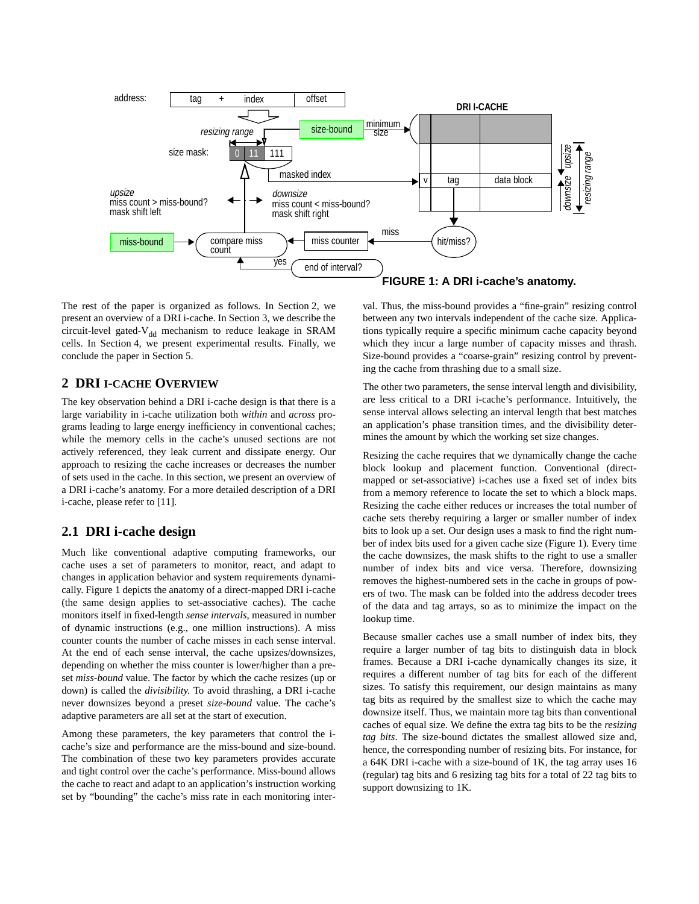

The rest of the paper is organized as follows. In [Section 2](#page-1-0), we present an overview of a DRI i-cache. In [Section 3](#page-2-0), we describe the circuit-level gated- $V_{dd}$  mechanism to reduce leakage in SRAM cells. In [Section 4,](#page-3-0) we present experimental results. Finally, we conclude the paper in [Section 5](#page-5-0).

#### <span id="page-1-0"></span>**2 DRI I-CACHE OVERVIEW**

The key observation behind a DRI i-cache design is that there is a large variability in i-cache utilization both *within* and *across* programs leading to large energy inefficiency in conventional caches; while the memory cells in the cache's unused sections are not actively referenced, they leak current and dissipate energy. Our approach to resizing the cache increases or decreases the number of sets used in the cache. In this section, we present an overview of a DRI i-cache's anatomy. For a more detailed description of a DRI i-cache, please refer to [11].

#### **2.1 DRI i-cache design**

Much like conventional adaptive computing frameworks, our cache uses a set of parameters to monitor, react, and adapt to changes in application behavior and system requirements dynamically. [Figure 1](#page-1-1) depicts the anatomy of a direct-mapped DRI i-cache (the same design applies to set-associative caches). The cache monitors itself in fixed-length *sense intervals*, measured in number of dynamic instructions (e.g., one million instructions). A miss counter counts the number of cache misses in each sense interval. At the end of each sense interval, the cache upsizes/downsizes, depending on whether the miss counter is lower/higher than a preset *miss-bound* value. The factor by which the cache resizes (up or down) is called the *divisibility*. To avoid thrashing, a DRI i-cache never downsizes beyond a preset *size-bound* value. The cache's adaptive parameters are all set at the start of execution.

Among these parameters, the key parameters that control the icache's size and performance are the miss-bound and size-bound. The combination of these two key parameters provides accurate and tight control over the cache's performance. Miss-bound allows the cache to react and adapt to an application's instruction working set by "bounding" the cache's miss rate in each monitoring inter<span id="page-1-1"></span>val. Thus, the miss-bound provides a "fine-grain" resizing control between any two intervals independent of the cache size. Applications typically require a specific minimum cache capacity beyond which they incur a large number of capacity misses and thrash. Size-bound provides a "coarse-grain" resizing control by preventing the cache from thrashing due to a small size.

The other two parameters, the sense interval length and divisibility, are less critical to a DRI i-cache's performance. Intuitively, the sense interval allows selecting an interval length that best matches an application's phase transition times, and the divisibility determines the amount by which the working set size changes.

Resizing the cache requires that we dynamically change the cache block lookup and placement function. Conventional (directmapped or set-associative) i-caches use a fixed set of index bits from a memory reference to locate the set to which a block maps. Resizing the cache either reduces or increases the total number of cache sets thereby requiring a larger or smaller number of index bits to look up a set. Our design uses a mask to find the right number of index bits used for a given cache size ([Figure 1\)](#page-1-1). Every time the cache downsizes, the mask shifts to the right to use a smaller number of index bits and vice versa. Therefore, downsizing removes the highest-numbered sets in the cache in groups of powers of two. The mask can be folded into the address decoder trees of the data and tag arrays, so as to minimize the impact on the lookup time.

Because smaller caches use a small number of index bits, they require a larger number of tag bits to distinguish data in block frames. Because a DRI i-cache dynamically changes its size, it requires a different number of tag bits for each of the different sizes. To satisfy this requirement, our design maintains as many tag bits as required by the smallest size to which the cache may downsize itself. Thus, we maintain more tag bits than conventional caches of equal size. We define the extra tag bits to be the *resizing tag bits*. The size-bound dictates the smallest allowed size and, hence, the corresponding number of resizing bits. For instance, for a 64K DRI i-cache with a size-bound of 1K, the tag array uses 16 (regular) tag bits and 6 resizing tag bits for a total of 22 tag bits to support downsizing to 1K.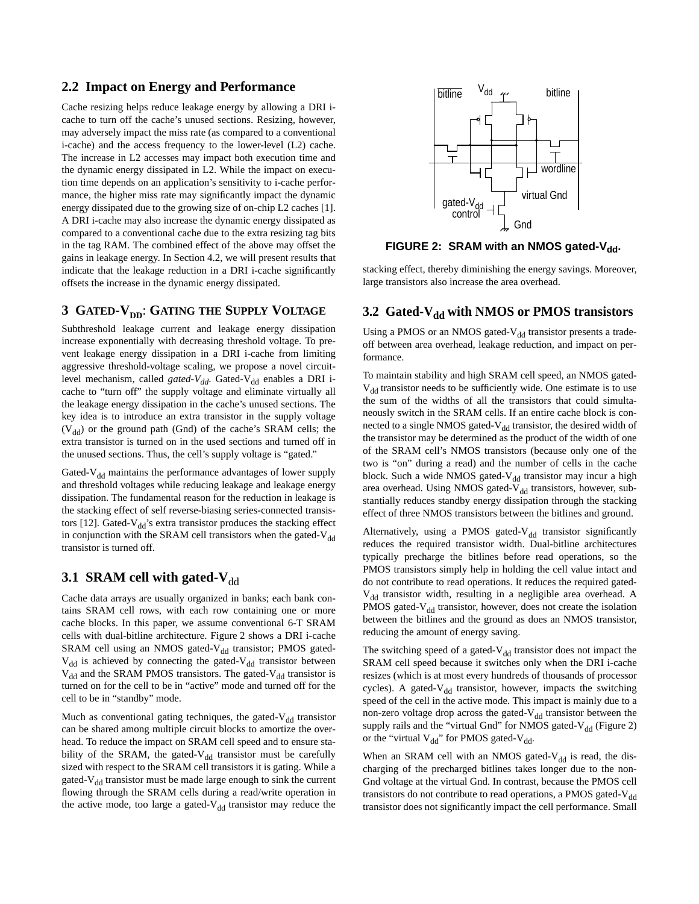## **2.2 Impact on Energy and Performance**

Cache resizing helps reduce leakage energy by allowing a DRI icache to turn off the cache's unused sections. Resizing, however, may adversely impact the miss rate (as compared to a conventional i-cache) and the access frequency to the lower-level (L2) cache. The increase in L2 accesses may impact both execution time and the dynamic energy dissipated in L2. While the impact on execution time depends on an application's sensitivity to i-cache performance, the higher miss rate may significantly impact the dynamic energy dissipated due to the growing size of on-chip L2 caches [1]. A DRI i-cache may also increase the dynamic energy dissipated as compared to a conventional cache due to the extra resizing tag bits in the tag RAM. The combined effect of the above may offset the gains in leakage energy. In [Section 4.2,](#page-4-0) we will present results that indicate that the leakage reduction in a DRI i-cache significantly offsets the increase in the dynamic energy dissipated.

## <span id="page-2-0"></span>**3 GATED-V<sub>DD</sub>: GATING THE SUPPLY VOLTAGE**

Subthreshold leakage current and leakage energy dissipation increase exponentially with decreasing threshold voltage. To prevent leakage energy dissipation in a DRI i-cache from limiting aggressive threshold-voltage scaling, we propose a novel circuitlevel mechanism, called *gated-V<sub>dd</sub>*. Gated-V<sub>dd</sub> enables a DRI icache to "turn off" the supply voltage and eliminate virtually all the leakage energy dissipation in the cache's unused sections. The key idea is to introduce an extra transistor in the supply voltage  $(V_{dd})$  or the ground path (Gnd) of the cache's SRAM cells; the extra transistor is turned on in the used sections and turned off in the unused sections. Thus, the cell's supply voltage is "gated."

Gated- $V_{dd}$  maintains the performance advantages of lower supply and threshold voltages while reducing leakage and leakage energy dissipation. The fundamental reason for the reduction in leakage is the stacking effect of self reverse-biasing series-connected transistors [12]. Gated- $V_{dd}$ 's extra transistor produces the stacking effect in conjunction with the SRAM cell transistors when the gated- $V_{dd}$ transistor is turned off.

## **3.1 SRAM cell with gated-V** $_{dd}$

Cache data arrays are usually organized in banks; each bank contains SRAM cell rows, with each row containing one or more cache blocks. In this paper, we assume conventional 6-T SRAM cells with dual-bitline architecture. [Figure 2](#page-2-1) shows a DRI i-cache SRAM cell using an NMOS gated- $V_{dd}$  transistor; PMOS gated- $V_{dd}$  is achieved by connecting the gated- $V_{dd}$  transistor between  $V_{dd}$  and the SRAM PMOS transistors. The gated- $V_{dd}$  transistor is turned on for the cell to be in "active" mode and turned off for the cell to be in "standby" mode.

Much as conventional gating techniques, the gated- $V_{dd}$  transistor can be shared among multiple circuit blocks to amortize the overhead. To reduce the impact on SRAM cell speed and to ensure stability of the SRAM, the gated- $V_{dd}$  transistor must be carefully sized with respect to the SRAM cell transistors it is gating. While a gated- $V_{dd}$  transistor must be made large enough to sink the current flowing through the SRAM cells during a read/write operation in the active mode, too large a gated- $V_{dd}$  transistor may reduce the



<span id="page-2-1"></span>FIGURE 2: SRAM with an NMOS gated-V<sub>dd</sub>.

stacking effect, thereby diminishing the energy savings. Moreover, large transistors also increase the area overhead.

## <span id="page-2-2"></span>**3.2 Gated-V<sub>dd</sub> with NMOS or PMOS transistors**

Using a PMOS or an NMOS gated-V $_{\rm dd}$  transistor presents a tradeoff between area overhead, leakage reduction, and impact on performance.

To maintain stability and high SRAM cell speed, an NMOS gated- $V_{dd}$  transistor needs to be sufficiently wide. One estimate is to use the sum of the widths of all the transistors that could simultaneously switch in the SRAM cells. If an entire cache block is connected to a single NMOS gated-V<sub>dd</sub> transistor, the desired width of the transistor may be determined as the product of the width of one of the SRAM cell's NMOS transistors (because only one of the two is "on" during a read) and the number of cells in the cache block. Such a wide NMOS gated- $V_{dd}$  transistor may incur a high area overhead. Using NMOS gated-V<sub>dd</sub> transistors, however, substantially reduces standby energy dissipation through the stacking effect of three NMOS transistors between the bitlines and ground.

Alternatively, using a PMOS gated- $V_{dd}$  transistor significantly reduces the required transistor width. Dual-bitline architectures typically precharge the bitlines before read operations, so the PMOS transistors simply help in holding the cell value intact and do not contribute to read operations. It reduces the required gated-V<sub>dd</sub> transistor width, resulting in a negligible area overhead. A PMOS gated- $V_{dd}$  transistor, however, does not create the isolation between the bitlines and the ground as does an NMOS transistor, reducing the amount of energy saving.

The switching speed of a gated- $V_{dd}$  transistor does not impact the SRAM cell speed because it switches only when the DRI i-cache resizes (which is at most every hundreds of thousands of processor cycles). A gated- $V_{dd}$  transistor, however, impacts the switching speed of the cell in the active mode. This impact is mainly due to a non-zero voltage drop across the gated- $V_{dd}$  transistor between the supply rails and the "virtual Gnd" for NMOS gated- $V_{dd}$  ([Figure 2\)](#page-2-1) or the "virtual  $V_{dd}$ " for PMOS gated-V<sub>dd</sub>.

When an SRAM cell with an NMOS gated- $V_{dd}$  is read, the discharging of the precharged bitlines takes longer due to the non-Gnd voltage at the virtual Gnd. In contrast, because the PMOS cell transistors do not contribute to read operations, a PMOS gated- $V_{dd}$ transistor does not significantly impact the cell performance. Small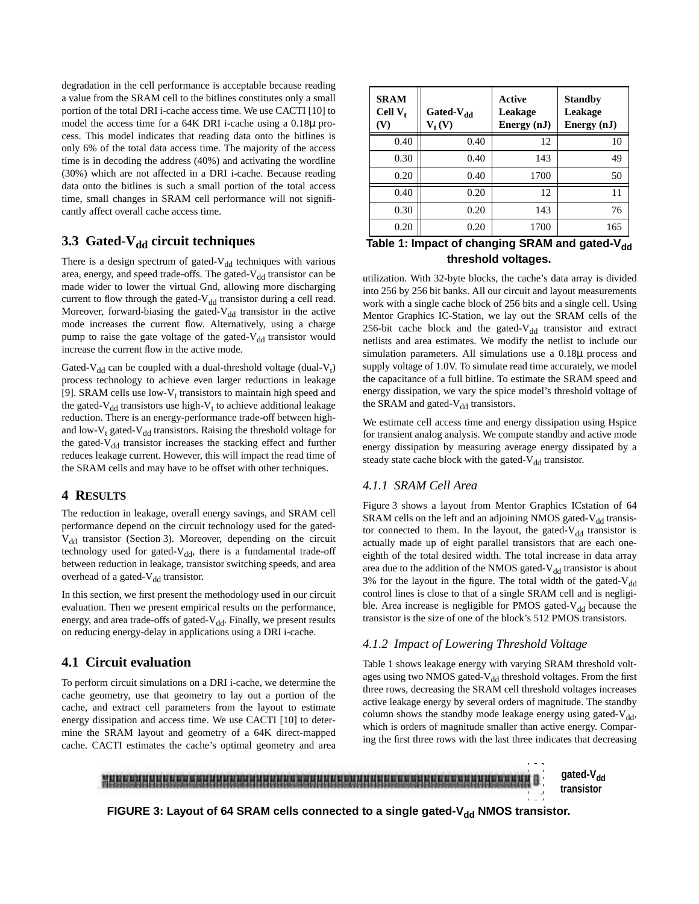degradation in the cell performance is acceptable because reading a value from the SRAM cell to the bitlines constitutes only a small portion of the total DRI i-cache access time. We use CACTI [10] to model the access time for a 64K DRI i-cache using a 0.18µ process. This model indicates that reading data onto the bitlines is only 6% of the total data access time. The majority of the access time is in decoding the address (40%) and activating the wordline (30%) which are not affected in a DRI i-cache. Because reading data onto the bitlines is such a small portion of the total access time, small changes in SRAM cell performance will not significantly affect overall cache access time.

## **3.3 Gated-V<sub>dd</sub> circuit techniques**

There is a design spectrum of gated- $V_{dd}$  techniques with various area, energy, and speed trade-offs. The gated- $V_{dd}$  transistor can be made wider to lower the virtual Gnd, allowing more discharging current to flow through the gated- $V_{dd}$  transistor during a cell read. Moreover, forward-biasing the gated- $V_{dd}$  transistor in the active mode increases the current flow. Alternatively, using a charge pump to raise the gate voltage of the gated- $V_{dd}$  transistor would increase the current flow in the active mode.

Gated-V<sub>dd</sub> can be coupled with a dual-threshold voltage (dual-V<sub>t</sub>) process technology to achieve even larger reductions in leakage [9]. SRAM cells use low- $V_t$  transistors to maintain high speed and the gated-V<sub>dd</sub> transistors use high-V<sub>t</sub> to achieve additional leakage reduction. There is an energy-performance trade-off between highand low- $V_t$  gated- $V_{dd}$  transistors. Raising the threshold voltage for the gated- $V_{dd}$  transistor increases the stacking effect and further reduces leakage current. However, this will impact the read time of the SRAM cells and may have to be offset with other techniques.

## <span id="page-3-0"></span>**4 RESULTS**

The reduction in leakage, overall energy savings, and SRAM cell performance depend on the circuit technology used for the gated- $V_{dd}$  transistor ([Section 3](#page-2-0)). Moreover, depending on the circuit technology used for gated- $V_{dd}$ , there is a fundamental trade-off between reduction in leakage, transistor switching speeds, and area overhead of a gated-V<sub>dd</sub> transistor.

In this section, we first present the methodology used in our circuit evaluation. Then we present empirical results on the performance, energy, and area trade-offs of gated- $V_{dd}$ . Finally, we present results on reducing energy-delay in applications using a DRI i-cache.

## **4.1 Circuit evaluation**

To perform circuit simulations on a DRI i-cache, we determine the cache geometry, use that geometry to lay out a portion of the cache, and extract cell parameters from the layout to estimate energy dissipation and access time. We use CACTI [10] to determine the SRAM layout and geometry of a 64K direct-mapped cache. CACTI estimates the cache's optimal geometry and area

| <b>SRAM</b><br>Cell $V_t$<br>(V) | Gated-V <sub>dd</sub><br>$V_{t}(V)$ | Active<br>Leakage<br>Energy (nJ) | <b>Standby</b><br>Leakage<br>Energy (nJ) |  |
|----------------------------------|-------------------------------------|----------------------------------|------------------------------------------|--|
| 0.40                             | 0.40                                | 12                               | 10                                       |  |
| 0.30                             | 0.40                                | 143                              | 49                                       |  |
| 0.20                             | 0.40                                | 1700                             | 50                                       |  |
| 0.40                             | 0.20                                | 12                               | 11                                       |  |
| 0.30                             | 0.20                                | 143                              | 76                                       |  |
| 0.20                             | 0.20                                | 1700                             | 165                                      |  |

## <span id="page-3-2"></span>Table 1: Impact of changing SRAM and gated-V<sub>dd</sub> **threshold voltages.**

utilization. With 32-byte blocks, the cache's data array is divided into 256 by 256 bit banks. All our circuit and layout measurements work with a single cache block of 256 bits and a single cell. Using Mentor Graphics IC-Station, we lay out the SRAM cells of the 256-bit cache block and the gated- $V_{dd}$  transistor and extract netlists and area estimates. We modify the netlist to include our simulation parameters. All simulations use a 0.18µ process and supply voltage of 1.0V. To simulate read time accurately, we model the capacitance of a full bitline. To estimate the SRAM speed and energy dissipation, we vary the spice model's threshold voltage of the SRAM and gated- $V_{dd}$  transistors.

We estimate cell access time and energy dissipation using Hspice for transient analog analysis. We compute standby and active mode energy dissipation by measuring average energy dissipated by a steady state cache block with the gated- $V_{dd}$  transistor.

## *4.1.1 SRAM Cell Area*

[Figure 3](#page-3-1) shows a layout from Mentor Graphics ICstation of 64 SRAM cells on the left and an adjoining NMOS gated- $V_{dd}$  transistor connected to them. In the layout, the gated- $V_{dd}$  transistor is actually made up of eight parallel transistors that are each oneeighth of the total desired width. The total increase in data array area due to the addition of the NMOS gated- $V_{dd}$  transistor is about 3% for the layout in the figure. The total width of the gated- $V_{dd}$ control lines is close to that of a single SRAM cell and is negligible. Area increase is negligible for PMOS gated- $V_{dd}$  because the transistor is the size of one of the block's 512 PMOS transistors.

## *4.1.2 Impact of Lowering Threshold Voltage*

[Table 1](#page-3-2) shows leakage energy with varying SRAM threshold voltages using two NMOS gated- $V_{dd}$  threshold voltages. From the first three rows, decreasing the SRAM cell threshold voltages increases active leakage energy by several orders of magnitude. The standby column shows the standby mode leakage energy using gated- $V_{dd}$ , which is orders of magnitude smaller than active energy. Comparing the first three rows with the last three indicates that decreasing



<span id="page-3-1"></span>FIGURE 3: Layout of 64 SRAM cells connected to a single gated-V<sub>dd</sub> NMOS transistor.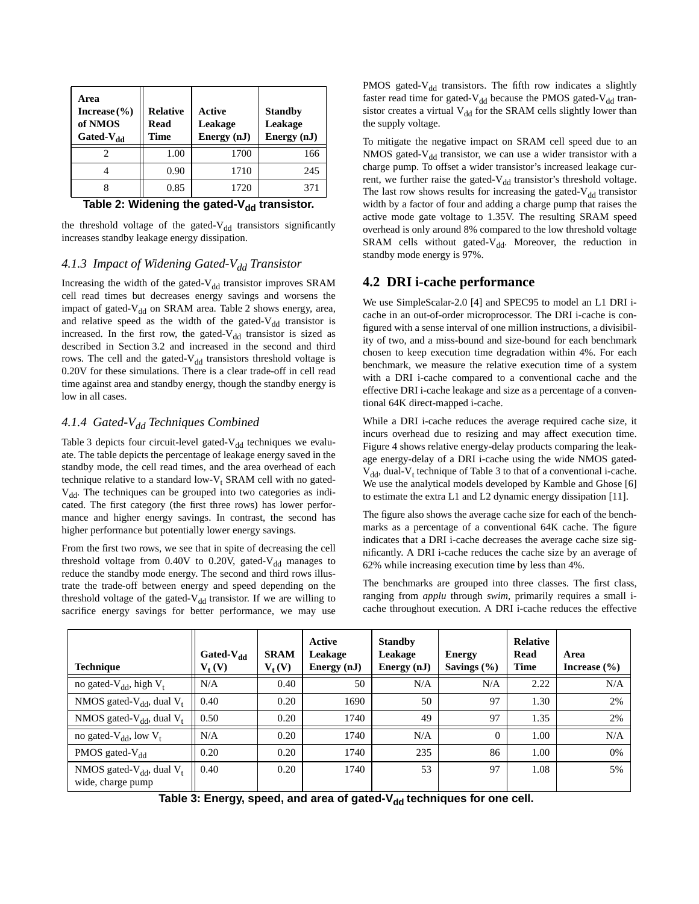| Area<br>Increase $(\% )$<br>of NMOS<br>Gated-V <sub>dd</sub> | <b>Relative</b><br>Read<br>Time | Active<br>Leakage<br>Energy (nJ) | <b>Standby</b><br>Leakage<br>Energy (nJ) |  |
|--------------------------------------------------------------|---------------------------------|----------------------------------|------------------------------------------|--|
|                                                              | 1.00                            | 1700                             | 166                                      |  |
|                                                              | 0.90                            | 1710                             | 245                                      |  |
|                                                              | 0.85                            | 1720                             | 371                                      |  |

Table 2: Widening the gated-V<sub>dd</sub> transistor.

<span id="page-4-1"></span>the threshold voltage of the gated- $V_{dd}$  transistors significantly increases standby leakage energy dissipation.

#### 4.1.3 Impact of Widening Gated-V<sub>dd</sub> Transistor

Increasing the width of the gated- $V_{dd}$  transistor improves SRAM cell read times but decreases energy savings and worsens the impact of gated-V<sub>dd</sub> on SRAM area. [Table 2](#page-4-1) shows energy, area, and relative speed as the width of the gated- $V_{dd}$  transistor is increased. In the first row, the gated- $V_{dd}$  transistor is sized as described in [Section 3.2](#page-2-2) and increased in the second and third rows. The cell and the gated- $V_{dd}$  transistors threshold voltage is 0.20V for these simulations. There is a clear trade-off in cell read time against area and standby energy, though the standby energy is low in all cases.

## 4.1.4 Gated-V<sub>dd</sub> Techniques Combined

[Table 3](#page-4-2) depicts four circuit-level gated- $V_{dd}$  techniques we evaluate. The table depicts the percentage of leakage energy saved in the standby mode, the cell read times, and the area overhead of each technique relative to a standard low- $V_t$  SRAM cell with no gated- $V_{dd}$ . The techniques can be grouped into two categories as indicated. The first category (the first three rows) has lower performance and higher energy savings. In contrast, the second has higher performance but potentially lower energy savings.

From the first two rows, we see that in spite of decreasing the cell threshold voltage from  $0.40V$  to  $0.20V$ , gated-V<sub>dd</sub> manages to reduce the standby mode energy. The second and third rows illustrate the trade-off between energy and speed depending on the threshold voltage of the gated- $V_{dd}$  transistor. If we are willing to sacrifice energy savings for better performance, we may use PMOS gated- $V_{dd}$  transistors. The fifth row indicates a slightly faster read time for gated- $V_{dd}$  because the PMOS gated- $V_{dd}$  transistor creates a virtual  $V_{dd}$  for the SRAM cells slightly lower than the supply voltage.

To mitigate the negative impact on SRAM cell speed due to an NMOS gated- $V_{dd}$  transistor, we can use a wider transistor with a charge pump. To offset a wider transistor's increased leakage current, we further raise the gated- $V_{dd}$  transistor's threshold voltage. The last row shows results for increasing the gated- $V_{dd}$  transistor width by a factor of four and adding a charge pump that raises the active mode gate voltage to 1.35V. The resulting SRAM speed overhead is only around 8% compared to the low threshold voltage SRAM cells without gated- $V_{dd}$ . Moreover, the reduction in standby mode energy is 97%.

## <span id="page-4-0"></span>**4.2 DRI i-cache performance**

We use SimpleScalar-2.0 [4] and SPEC95 to model an L1 DRI icache in an out-of-order microprocessor. The DRI i-cache is configured with a sense interval of one million instructions, a divisibility of two, and a miss-bound and size-bound for each benchmark chosen to keep execution time degradation within 4%. For each benchmark, we measure the relative execution time of a system with a DRI i-cache compared to a conventional cache and the effective DRI i-cache leakage and size as a percentage of a conventional 64K direct-mapped i-cache.

While a DRI i-cache reduces the average required cache size, it incurs overhead due to resizing and may affect execution time. [Figure 4](#page-5-1) shows relative energy-delay products comparing the leakage energy-delay of a DRI i-cache using the wide NMOS gated- $V_{dd}$ , dual- $V_t$  technique of [Table 3](#page-4-2) to that of a conventional i-cache. We use the analytical models developed by Kamble and Ghose [6] to estimate the extra L1 and L2 dynamic energy dissipation [11].

The figure also shows the average cache size for each of the benchmarks as a percentage of a conventional 64K cache. The figure indicates that a DRI i-cache decreases the average cache size significantly. A DRI i-cache reduces the cache size by an average of 62% while increasing execution time by less than 4%.

The benchmarks are grouped into three classes. The first class, ranging from *applu* through *swim,* primarily requires a small icache throughout execution. A DRI i-cache reduces the effective

| <b>Technique</b>                                       | Gated- $V_{dd}$<br>$V_t(V)$ | <b>SRAM</b><br>$V_t(V)$ | Active<br>Leakage<br>Energy (nJ) | <b>Standby</b><br>Leakage<br>Energy $(nJ)$ | <b>Energy</b><br>Savings $(\% )$ | Relative<br>Read<br><b>Time</b> | Area<br>Increase $(\% )$ |
|--------------------------------------------------------|-----------------------------|-------------------------|----------------------------------|--------------------------------------------|----------------------------------|---------------------------------|--------------------------|
| no gated- $V_{dd}$ , high $V_t$                        | N/A                         | 0.40                    | 50                               | N/A                                        | N/A                              | 2.22                            | N/A                      |
| NMOS gated- $V_{dd}$ , dual $V_t$                      | 0.40                        | 0.20                    | 1690                             | 50                                         | 97                               | 1.30                            | 2%                       |
| NMOS gated- $V_{dd}$ , dual $V_t$                      | 0.50                        | 0.20                    | 1740                             | 49                                         | 97                               | 1.35                            | 2%                       |
| no gated- $V_{dd}$ , low $V_t$                         | N/A                         | 0.20                    | 1740                             | N/A                                        | $\Omega$                         | 1.00                            | N/A                      |
| PMOS gated- $V_{dd}$                                   | 0.20                        | 0.20                    | 1740                             | 235                                        | 86                               | 1.00                            | 0%                       |
| NMOS gated- $V_{dd}$ , dual $V_t$<br>wide, charge pump | 0.40                        | 0.20                    | 1740                             | 53                                         | 97                               | 1.08                            | 5%                       |

<span id="page-4-2"></span>Table 3: Energy, speed, and area of gated-V<sub>dd</sub> techniques for one cell.